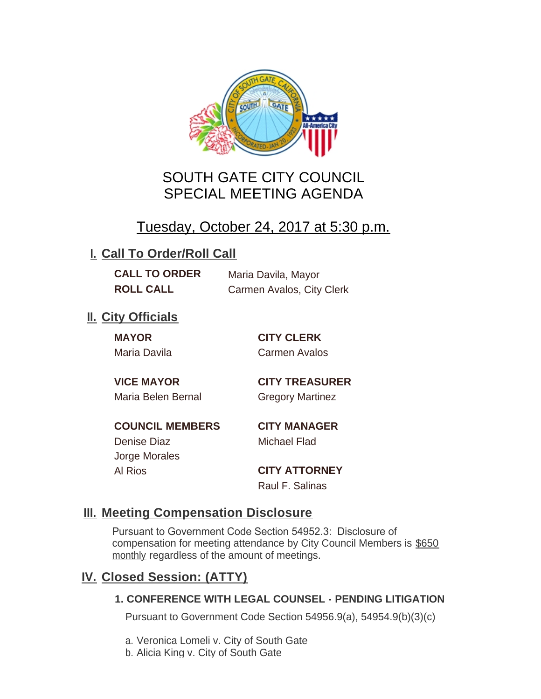

# SOUTH GATE CITY COUNCIL SPECIAL MEETING AGENDA

# Tuesday, October 24, 2017 at 5:30 p.m.

# **I. Call To Order/Roll Call**

**CALL TO ORDER** Maria Davila, Mayor **ROLL CALL** Carmen Avalos, City Clerk

# **II.** City Officials

**MAYOR CITY CLERK**

Maria Davila Carmen Avalos

Maria Belen Bernal Gregory Martinez

**VICE MAYOR CITY TREASURER**

**COUNCIL MEMBERS CITY MANAGER** Denise Diaz Michael Flad

Jorge Morales

Al Rios **CITY ATTORNEY** Raul F. Salinas

### **Meeting Compensation Disclosure III.**

Pursuant to Government Code Section 54952.3: Disclosure of compensation for meeting attendance by City Council Members is \$650 monthly regardless of the amount of meetings.

## **Closed Session: (ATTY) IV.**

#### **1. CONFERENCE WITH LEGAL COUNSEL - PENDING LITIGATION**

Pursuant to Government Code Section 54956.9(a), 54954.9(b)(3)(c)

- a. Veronica Lomeli v. City of South Gate
- b. Alicia King v. City of South Gate